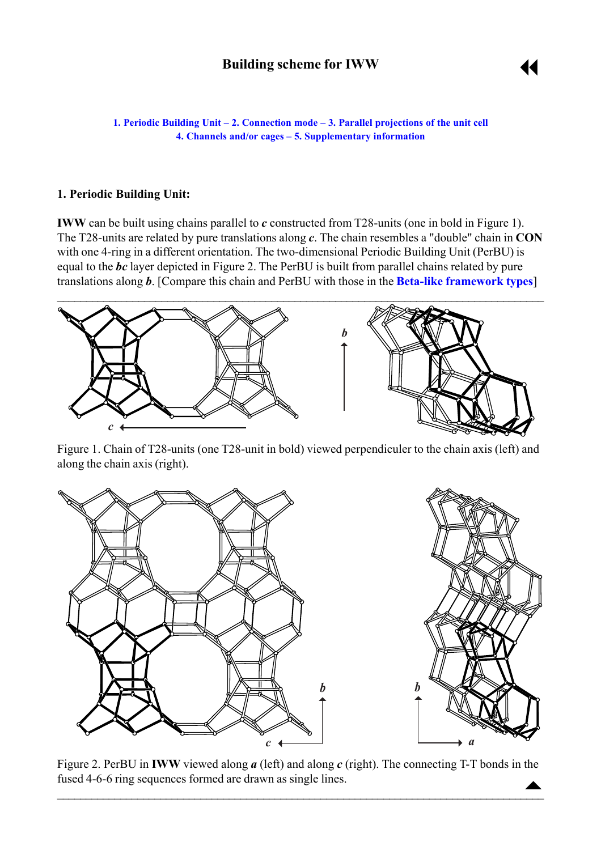

<span id="page-0-0"></span>**1. Periodic Building Unit – 2. Connection mode – [3. Parallel projections of the unit cell](#page-1-0) 4. Channels and/or cages – [5. Supplementary information](#page-3-0)** 

#### **1. Periodic Building Unit:**

**IWW** can be built using chains parallel to *c* constructed from T28-units (one in bold in Figure 1). The T28-units are related by pure translations along *c*. The chain resembles a "double" chain in **CON** with one 4-ring in a different orientation. The two-dimensional Periodic Building Unit (PerBU) is equal to the *bc* layer depicted in Figure 2. The PerBU is built from parallel chains related by pure translations along *b*. [Compare this chain and PerBU with those in the **[Beta-like framework types](#page-3-0)**]



Figure 1. Chain of T28-units (one T28-unit in bold) viewed perpendiculer to the chain axis (left) and along the chain axis (right).



 $\blacktriangle$ Figure 2. PerBU in **IWW** viewed along *a* (left) and along *c* (right). The connecting T-T bonds in the fused 4-6-6 ring sequences formed are drawn as single lines.

 $\mathcal{L}_\mathcal{L} = \mathcal{L}_\mathcal{L} = \mathcal{L}_\mathcal{L} = \mathcal{L}_\mathcal{L} = \mathcal{L}_\mathcal{L} = \mathcal{L}_\mathcal{L} = \mathcal{L}_\mathcal{L} = \mathcal{L}_\mathcal{L} = \mathcal{L}_\mathcal{L} = \mathcal{L}_\mathcal{L} = \mathcal{L}_\mathcal{L} = \mathcal{L}_\mathcal{L} = \mathcal{L}_\mathcal{L} = \mathcal{L}_\mathcal{L} = \mathcal{L}_\mathcal{L} = \mathcal{L}_\mathcal{L} = \mathcal{L}_\mathcal{L}$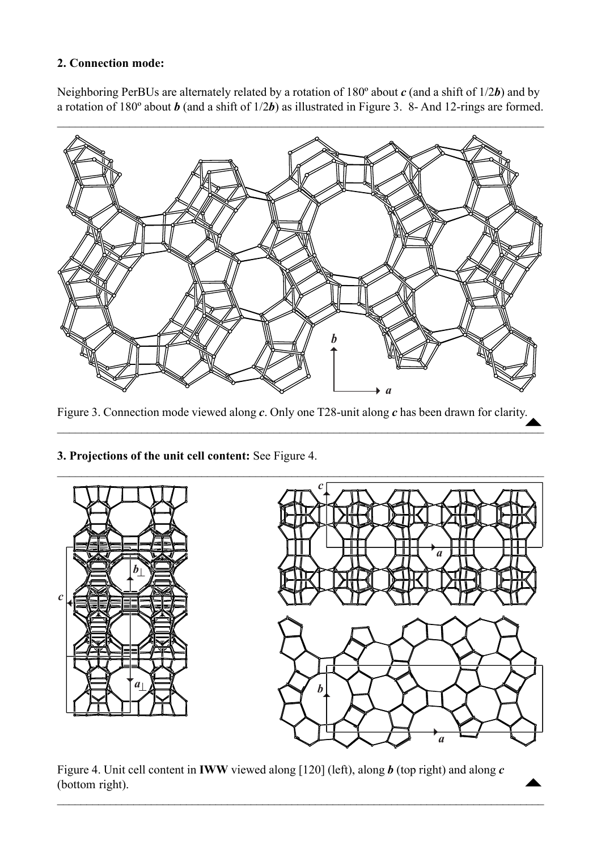## <span id="page-1-0"></span>**2. Connection mode:**

Neighboring PerBUs are alternately related by a rotation of 180º about *c* (and a shift of 1/2*b*) and by a rotation of 180º about *b* (and a shift of 1/2*b*) as illustrated in Figure 3. 8- And 12-rings are formed.



 $\frac{y}{\sqrt{2}}$ Figure 3. Connection mode viewed along *c*. Only one T28-unit along *c* has been drawn for clarity.

 $\blacksquare$  . The contract of the contract of the contract of the contract of the contract of the contract of the contract of

**3. Projections of the unit cell content:** See Figure 4.



Figure 4. Unit cell content in **IWW** viewed along [120] (left), along *b* (top right) and along *c* (bottom right).

 $\mathcal{L}_\mathcal{L} = \{ \mathcal{L}_\mathcal{L} = \{ \mathcal{L}_\mathcal{L} = \{ \mathcal{L}_\mathcal{L} = \{ \mathcal{L}_\mathcal{L} = \{ \mathcal{L}_\mathcal{L} = \{ \mathcal{L}_\mathcal{L} = \{ \mathcal{L}_\mathcal{L} = \{ \mathcal{L}_\mathcal{L} = \{ \mathcal{L}_\mathcal{L} = \{ \mathcal{L}_\mathcal{L} = \{ \mathcal{L}_\mathcal{L} = \{ \mathcal{L}_\mathcal{L} = \{ \mathcal{L}_\mathcal{L} = \{ \mathcal{L}_\mathcal{$ 

 $\blacktriangle$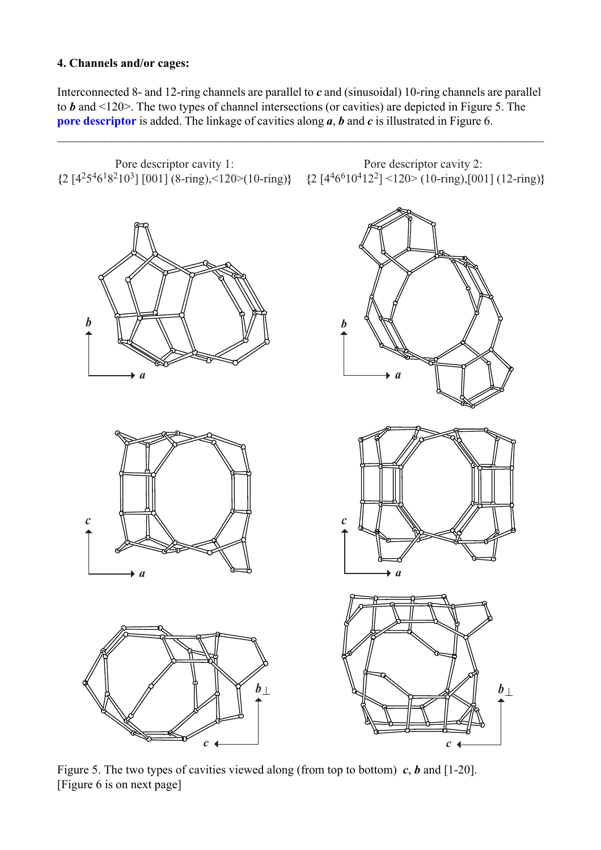## <span id="page-2-0"></span>**4. Channels and/or cages:**

Interconnected 8- and 12-ring channels are parallel to *c* and (sinusoidal) 10-ring channels are parallel to *b* and <120>. The two types of channel intersections (or cavities) are depicted in Figure 5. The **[pore descriptor](http://www.iza-structure.org/databases/ModelBuilding/Introduction.pdf)** is added. The linkage of cavities along *a*, *b* and *c* is illustrated in Figure 6.



Figure 5. The two types of cavities viewed along (from top to bottom) *c*, *b* and [1-20]. [Figure 6 is on next page]